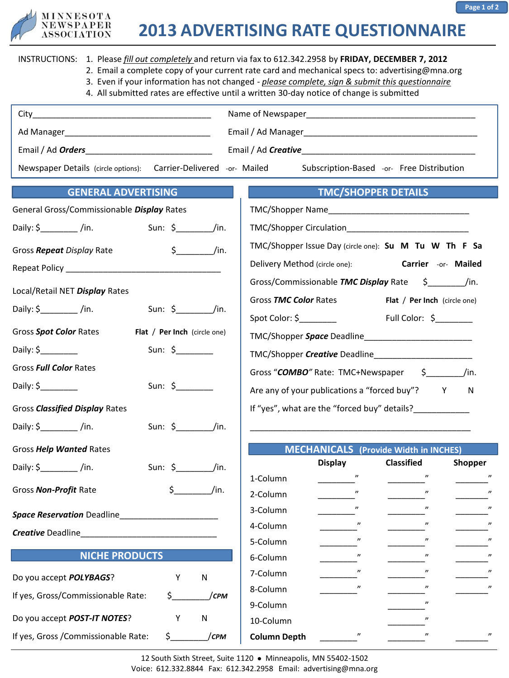

**Page 1 of 2**

|                                                                          | INSTRUCTIONS: 1. Please fill out completely and return via fax to 612.342.2958 by FRIDAY, DECEMBER 7, 2012<br>2. Email a complete copy of your current rate card and mechanical specs to: advertising@mna.org<br>3. Even if your information has not changed - please complete, sign & submit this questionnaire<br>4. All submitted rates are effective until a written 30-day notice of change is submitted |  |  |
|--------------------------------------------------------------------------|---------------------------------------------------------------------------------------------------------------------------------------------------------------------------------------------------------------------------------------------------------------------------------------------------------------------------------------------------------------------------------------------------------------|--|--|
|                                                                          |                                                                                                                                                                                                                                                                                                                                                                                                               |  |  |
|                                                                          |                                                                                                                                                                                                                                                                                                                                                                                                               |  |  |
| Email / Ad <i>Orders</i>                                                 |                                                                                                                                                                                                                                                                                                                                                                                                               |  |  |
| Newspaper Details (circle options): Carrier-Delivered -or- Mailed        | Subscription-Based -or- Free Distribution                                                                                                                                                                                                                                                                                                                                                                     |  |  |
| <b>GENERAL ADVERTISING</b>                                               | <b>TMC/SHOPPER DETAILS</b>                                                                                                                                                                                                                                                                                                                                                                                    |  |  |
| General Gross/Commissionable Display Rates                               |                                                                                                                                                                                                                                                                                                                                                                                                               |  |  |
|                                                                          |                                                                                                                                                                                                                                                                                                                                                                                                               |  |  |
| $\frac{1}{2}$ /in.<br>Gross Repeat Display Rate                          | TMC/Shopper Issue Day (circle one): Su M Tu W Th F Sa                                                                                                                                                                                                                                                                                                                                                         |  |  |
|                                                                          | Delivery Method (circle one): Carrier -or- Mailed                                                                                                                                                                                                                                                                                                                                                             |  |  |
| Local/Retail NET Display Rates                                           |                                                                                                                                                                                                                                                                                                                                                                                                               |  |  |
| Daily: $\oint$ /in.<br>$Sun: \S$ /in.                                    | Gross TMC Color Rates<br>Flat / Per Inch (circle one)                                                                                                                                                                                                                                                                                                                                                         |  |  |
| Gross Spot Color Rates<br>Flat / Per Inch (circle one)                   |                                                                                                                                                                                                                                                                                                                                                                                                               |  |  |
| Sun: $\frac{1}{2}$                                                       |                                                                                                                                                                                                                                                                                                                                                                                                               |  |  |
| Gross Full Color Rates                                                   |                                                                                                                                                                                                                                                                                                                                                                                                               |  |  |
| Sun: $\frac{1}{2}$                                                       | Gross "COMBO" Rate: TMC+Newspaper \$__________/in.                                                                                                                                                                                                                                                                                                                                                            |  |  |
|                                                                          | Are any of your publications a "forced buy"? Y N                                                                                                                                                                                                                                                                                                                                                              |  |  |
| Gross Classified Display Rates                                           | If "yes", what are the "forced buy" details?____________                                                                                                                                                                                                                                                                                                                                                      |  |  |
| Sun: $\oint$ /in.<br>Daily: $\zeta$ /in.                                 | <u> 1989 - Johann Harry Harry Harry Harry Harry Harry Harry Harry Harry Harry Harry Harry Harry Harry Harry Harry</u>                                                                                                                                                                                                                                                                                         |  |  |
| Gross Help Wanted Rates                                                  | <b>MECHANICALS</b> (Provide Width in INCHES)                                                                                                                                                                                                                                                                                                                                                                  |  |  |
| Daily: $\zeta$ /in.<br>Sun: $\zeta$ /in.                                 | <b>Display</b><br><b>Classified</b><br>Shopper                                                                                                                                                                                                                                                                                                                                                                |  |  |
| \$<br>/in.<br>Gross Non-Profit Rate                                      | 1-Column $\qquad \qquad \blacksquare$ "<br>$^{\prime \prime}$<br>"<br>2-Column                                                                                                                                                                                                                                                                                                                                |  |  |
|                                                                          | $^{\prime \prime}$<br>$^{\prime\prime}$<br>$^{\prime\prime}$<br>3-Column                                                                                                                                                                                                                                                                                                                                      |  |  |
| <b>Space Reservation Deadline</b><br><u> 1980 - Jan Barbarat, manala</u> | "<br>4-Column                                                                                                                                                                                                                                                                                                                                                                                                 |  |  |
| <b>Creative Deadline</b>                                                 | 5-Column                                                                                                                                                                                                                                                                                                                                                                                                      |  |  |
| <b>NICHE PRODUCTS</b>                                                    | "<br>6-Column                                                                                                                                                                                                                                                                                                                                                                                                 |  |  |
| Do you accept <b>POLYBAGS</b> ?<br>Y<br>N                                | "<br>$^{\prime\prime}$<br>7-Column                                                                                                                                                                                                                                                                                                                                                                            |  |  |
| If yes, Gross/Commissionable Rate:<br>$\zeta_{-}$<br>/срм                | "<br>$\boldsymbol{\eta}$<br>8-Column<br>"                                                                                                                                                                                                                                                                                                                                                                     |  |  |
| Do you accept <b>POST-IT NOTES</b> ?<br>Υ<br>N                           | 9-Column<br>10-Column                                                                                                                                                                                                                                                                                                                                                                                         |  |  |
| If yes, Gross / Commissionable Rate:<br>/срм<br>\$_                      | $\boldsymbol{\prime\prime}$<br><b>Column Depth</b>                                                                                                                                                                                                                                                                                                                                                            |  |  |
|                                                                          |                                                                                                                                                                                                                                                                                                                                                                                                               |  |  |